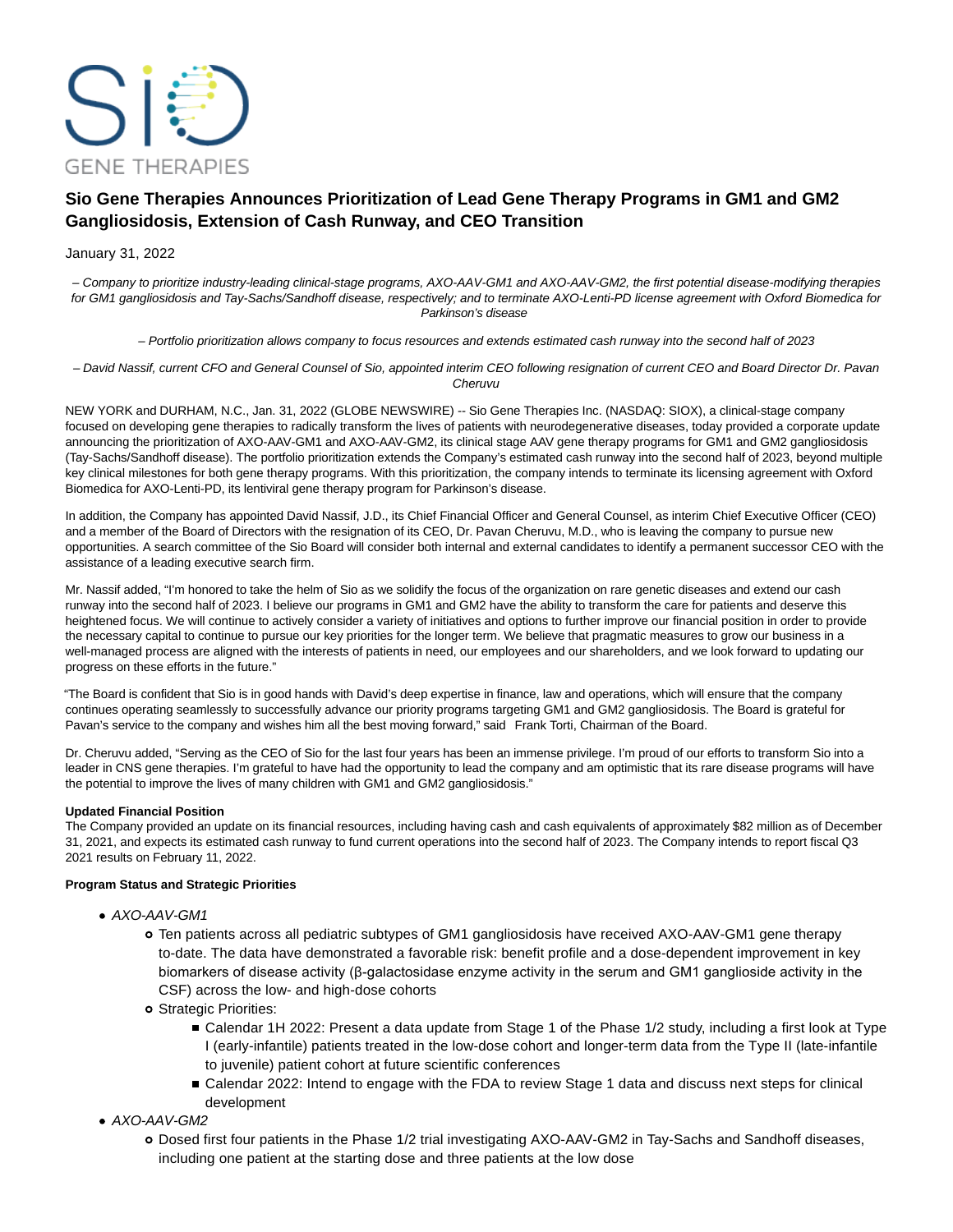

# **Sio Gene Therapies Announces Prioritization of Lead Gene Therapy Programs in GM1 and GM2 Gangliosidosis, Extension of Cash Runway, and CEO Transition**

# January 31, 2022

– Company to prioritize industry-leading clinical-stage programs, AXO-AAV-GM1 and AXO-AAV-GM2, the first potential disease-modifying therapies for GM1 gangliosidosis and Tay-Sachs/Sandhoff disease, respectively; and to terminate AXO-Lenti-PD license agreement with Oxford Biomedica for Parkinson's disease

– Portfolio prioritization allows company to focus resources and extends estimated cash runway into the second half of 2023

– David Nassif, current CFO and General Counsel of Sio, appointed interim CEO following resignation of current CEO and Board Director Dr. Pavan Cheruvu

NEW YORK and DURHAM, N.C., Jan. 31, 2022 (GLOBE NEWSWIRE) -- Sio Gene Therapies Inc. (NASDAQ: SIOX), a clinical-stage company focused on developing gene therapies to radically transform the lives of patients with neurodegenerative diseases, today provided a corporate update announcing the prioritization of AXO-AAV-GM1 and AXO-AAV-GM2, its clinical stage AAV gene therapy programs for GM1 and GM2 gangliosidosis (Tay-Sachs/Sandhoff disease). The portfolio prioritization extends the Company's estimated cash runway into the second half of 2023, beyond multiple key clinical milestones for both gene therapy programs. With this prioritization, the company intends to terminate its licensing agreement with Oxford Biomedica for AXO-Lenti-PD, its lentiviral gene therapy program for Parkinson's disease.

In addition, the Company has appointed David Nassif, J.D., its Chief Financial Officer and General Counsel, as interim Chief Executive Officer (CEO) and a member of the Board of Directors with the resignation of its CEO, Dr. Pavan Cheruvu, M.D., who is leaving the company to pursue new opportunities. A search committee of the Sio Board will consider both internal and external candidates to identify a permanent successor CEO with the assistance of a leading executive search firm.

Mr. Nassif added, "I'm honored to take the helm of Sio as we solidify the focus of the organization on rare genetic diseases and extend our cash runway into the second half of 2023. I believe our programs in GM1 and GM2 have the ability to transform the care for patients and deserve this heightened focus. We will continue to actively consider a variety of initiatives and options to further improve our financial position in order to provide the necessary capital to continue to pursue our key priorities for the longer term. We believe that pragmatic measures to grow our business in a well-managed process are aligned with the interests of patients in need, our employees and our shareholders, and we look forward to updating our progress on these efforts in the future."

"The Board is confident that Sio is in good hands with David's deep expertise in finance, law and operations, which will ensure that the company continues operating seamlessly to successfully advance our priority programs targeting GM1 and GM2 gangliosidosis. The Board is grateful for Pavan's service to the company and wishes him all the best moving forward," said Frank Torti, Chairman of the Board.

Dr. Cheruvu added, "Serving as the CEO of Sio for the last four years has been an immense privilege. I'm proud of our efforts to transform Sio into a leader in CNS gene therapies. I'm grateful to have had the opportunity to lead the company and am optimistic that its rare disease programs will have the potential to improve the lives of many children with GM1 and GM2 gangliosidosis."

# **Updated Financial Position**

The Company provided an update on its financial resources, including having cash and cash equivalents of approximately \$82 million as of December 31, 2021, and expects its estimated cash runway to fund current operations into the second half of 2023. The Company intends to report fiscal Q3 2021 results on February 11, 2022.

## **Program Status and Strategic Priorities**

- AXO-AAV-GM1
	- Ten patients across all pediatric subtypes of GM1 gangliosidosis have received AXO-AAV-GM1 gene therapy to-date. The data have demonstrated a favorable risk: benefit profile and a dose-dependent improvement in key biomarkers of disease activity (β-galactosidase enzyme activity in the serum and GM1 ganglioside activity in the CSF) across the low- and high-dose cohorts
	- Strategic Priorities:
		- Calendar 1H 2022: Present a data update from Stage 1 of the Phase 1/2 study, including a first look at Type I (early-infantile) patients treated in the low-dose cohort and longer-term data from the Type II (late-infantile to juvenile) patient cohort at future scientific conferences
		- Calendar 2022: Intend to engage with the FDA to review Stage 1 data and discuss next steps for clinical development
- AXO-AAV-GM2
	- Dosed first four patients in the Phase 1/2 trial investigating AXO-AAV-GM2 in Tay-Sachs and Sandhoff diseases, including one patient at the starting dose and three patients at the low dose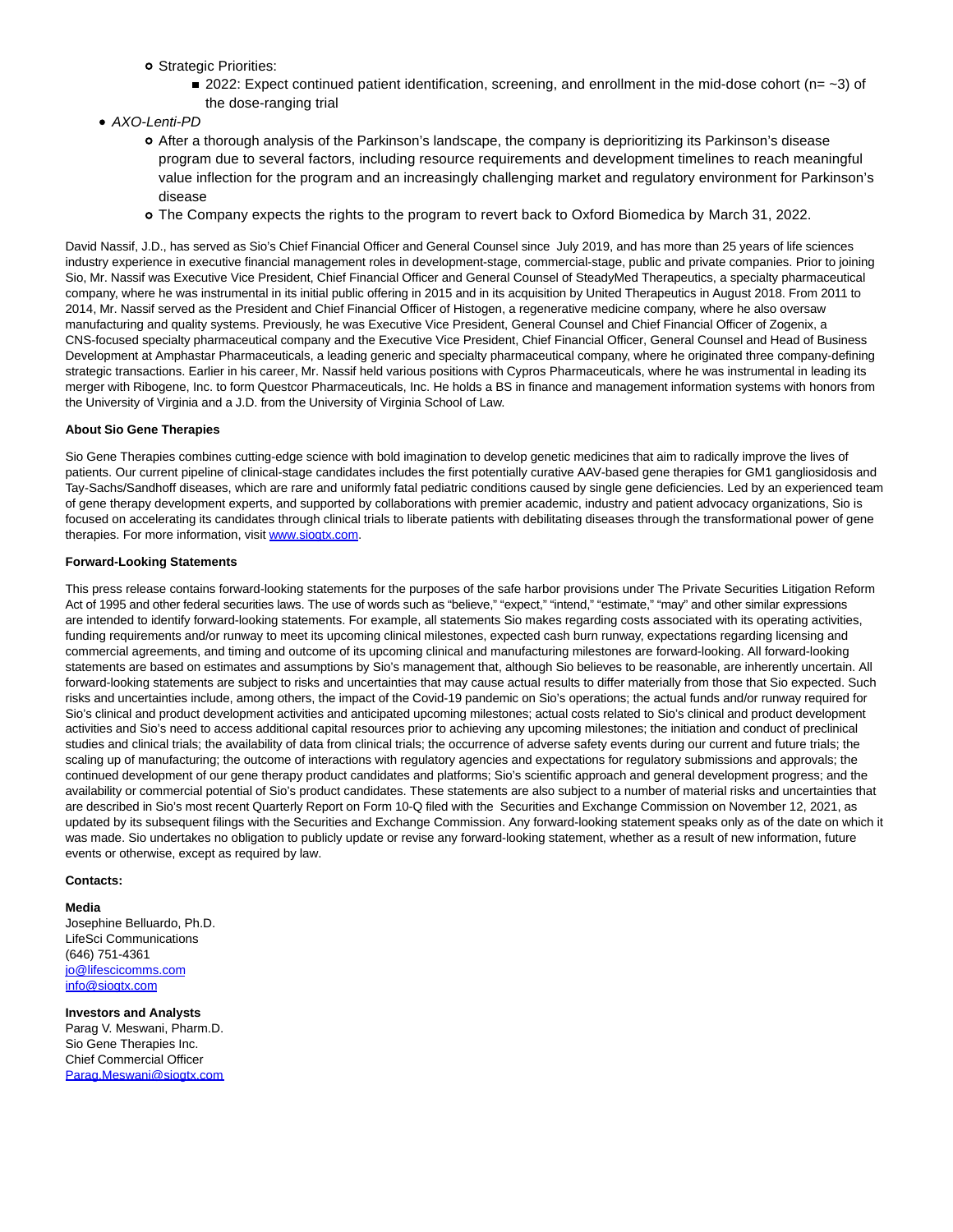- o Strategic Priorities:
	- 2022: Expect continued patient identification, screening, and enrollment in the mid-dose cohort (n=  $\sim$ 3) of the dose-ranging trial
- AXO-Lenti-PD
	- After a thorough analysis of the Parkinson's landscape, the company is deprioritizing its Parkinson's disease program due to several factors, including resource requirements and development timelines to reach meaningful value inflection for the program and an increasingly challenging market and regulatory environment for Parkinson's disease
	- The Company expects the rights to the program to revert back to Oxford Biomedica by March 31, 2022.

David Nassif, J.D., has served as Sio's Chief Financial Officer and General Counsel since July 2019, and has more than 25 years of life sciences industry experience in executive financial management roles in development-stage, commercial-stage, public and private companies. Prior to joining Sio, Mr. Nassif was Executive Vice President, Chief Financial Officer and General Counsel of SteadyMed Therapeutics, a specialty pharmaceutical company, where he was instrumental in its initial public offering in 2015 and in its acquisition by United Therapeutics in August 2018. From 2011 to 2014, Mr. Nassif served as the President and Chief Financial Officer of Histogen, a regenerative medicine company, where he also oversaw manufacturing and quality systems. Previously, he was Executive Vice President, General Counsel and Chief Financial Officer of Zogenix, a CNS-focused specialty pharmaceutical company and the Executive Vice President, Chief Financial Officer, General Counsel and Head of Business Development at Amphastar Pharmaceuticals, a leading generic and specialty pharmaceutical company, where he originated three company-defining strategic transactions. Earlier in his career, Mr. Nassif held various positions with Cypros Pharmaceuticals, where he was instrumental in leading its merger with Ribogene, Inc. to form Questcor Pharmaceuticals, Inc. He holds a BS in finance and management information systems with honors from the University of Virginia and a J.D. from the University of Virginia School of Law.

#### **About Sio Gene Therapies**

Sio Gene Therapies combines cutting-edge science with bold imagination to develop genetic medicines that aim to radically improve the lives of patients. Our current pipeline of clinical-stage candidates includes the first potentially curative AAV-based gene therapies for GM1 gangliosidosis and Tay-Sachs/Sandhoff diseases, which are rare and uniformly fatal pediatric conditions caused by single gene deficiencies. Led by an experienced team of gene therapy development experts, and supported by collaborations with premier academic, industry and patient advocacy organizations, Sio is focused on accelerating its candidates through clinical trials to liberate patients with debilitating diseases through the transformational power of gene therapies. For more information, visit [www.siogtx.com.](https://www.globenewswire.com/Tracker?data=znjZ11K-a1tNIa_cFO8_8MzhDvUMLmOXO8CUFSW9_XXrwL2r0zjsSPgVXI8wZNSSAfuB7Xe12TwJhzQi4OfXaQ==)

#### **Forward-Looking Statements**

This press release contains forward-looking statements for the purposes of the safe harbor provisions under The Private Securities Litigation Reform Act of 1995 and other federal securities laws. The use of words such as "believe," "expect," "intend," "estimate," "may" and other similar expressions are intended to identify forward-looking statements. For example, all statements Sio makes regarding costs associated with its operating activities, funding requirements and/or runway to meet its upcoming clinical milestones, expected cash burn runway, expectations regarding licensing and commercial agreements, and timing and outcome of its upcoming clinical and manufacturing milestones are forward-looking. All forward-looking statements are based on estimates and assumptions by Sio's management that, although Sio believes to be reasonable, are inherently uncertain. All forward-looking statements are subject to risks and uncertainties that may cause actual results to differ materially from those that Sio expected. Such risks and uncertainties include, among others, the impact of the Covid-19 pandemic on Sio's operations; the actual funds and/or runway required for Sio's clinical and product development activities and anticipated upcoming milestones; actual costs related to Sio's clinical and product development activities and Sio's need to access additional capital resources prior to achieving any upcoming milestones; the initiation and conduct of preclinical studies and clinical trials; the availability of data from clinical trials; the occurrence of adverse safety events during our current and future trials; the scaling up of manufacturing; the outcome of interactions with regulatory agencies and expectations for regulatory submissions and approvals; the continued development of our gene therapy product candidates and platforms; Sio's scientific approach and general development progress; and the availability or commercial potential of Sio's product candidates. These statements are also subject to a number of material risks and uncertainties that are described in Sio's most recent Quarterly Report on Form 10-Q filed with the Securities and Exchange Commission on November 12, 2021, as updated by its subsequent filings with the Securities and Exchange Commission. Any forward-looking statement speaks only as of the date on which it was made. Sio undertakes no obligation to publicly update or revise any forward-looking statement, whether as a result of new information, future events or otherwise, except as required by law.

#### **Contacts:**

## **Media**

Josephine Belluardo, Ph.D. LifeSci Communications (646) 751-4361 [jo@lifescicomms.com](https://www.globenewswire.com/Tracker?data=vqjHO4wjcbsmFLHHpsQt8wxv31yN6RfC0_JXp6Kr1aHsxeAtvnDHscH8U--P05fQS1VT7wL_ZulfnBxd5ZBfKSV2v_9IXOrou1VVU4GYEZc=) [info@siogtx.com](https://www.globenewswire.com/Tracker?data=8jWlcbcgrCHkpfqApBo7Wwht4kVN19EmOziVM3_Ok1Jljc4UF4NhbsayELyR2FMxgKo29Y8-2vSZkeL8hI229g==)

## **Investors and Analysts**

Parag V. Meswani, Pharm.D. Sio Gene Therapies Inc. Chief Commercial Officer [Parag.Meswani@siogtx.com](https://www.globenewswire.com/Tracker?data=zXCPA3sKgvCCKTnYgt6yNQS5lyzU67SSWtiyG24_Cma8uz1hydaSxld5rvBcvFGHmA7hMZm7nairwpTKFiPpgYTMzIQ5NqlVFS8Y87anSQ0=)